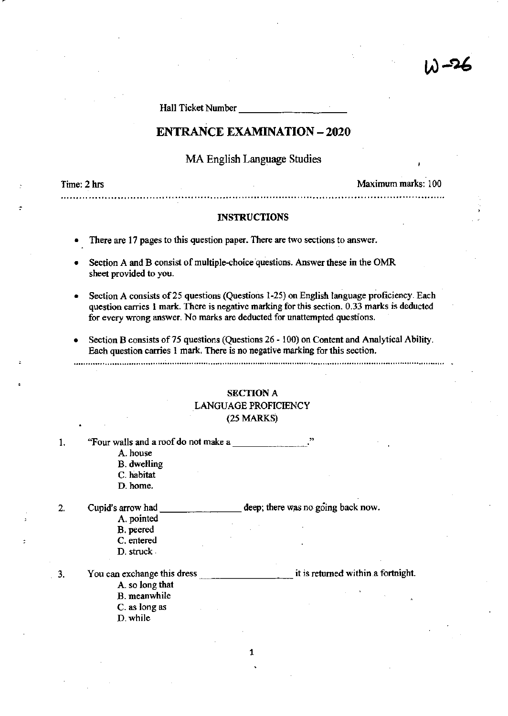Hall Ticket Number \_\_\_\_\_\_\_\_ \_

# ENTRANCE EXAMINATION - 2020

MA English Language Studies

Time: 2 hrs Maximum marks: 100

W-26

#### INSTRUCTIONS

..........................................................................................................................

- There are 17 pages to this question paper. There are two sections to answer.
- Section A and B consist of multiple-choice questions. Answer these in the OMR sheet provided to you.
- Section A consists of 25 questions (Questions 1-25) on English language proficiency. Each question carries 1 mark. There is negative marking for this section. 0.33 marks is deducted for every wrong answer. No marks are deducted for unattempted questions.
- Section B consists of 75 questions (Questions 26 100) on Content and Analytical Ability. Each question carries 1 mark. There is no negative marking for this section .

............................................................................................................................................................

# SECTION A LANGUAGE PROFICIENCY (25 MARKS)

|    | "Four walls and a roof do not make a |                                    |
|----|--------------------------------------|------------------------------------|
|    | A. house                             |                                    |
|    | <b>B.</b> dwelling                   |                                    |
|    | C. habitat                           |                                    |
|    | D. home.                             |                                    |
| 2. | Cupid's arrow had                    | deep; there was no going back now. |
|    | A. pointed                           |                                    |
|    | B. peered                            |                                    |
|    | C. entered                           |                                    |
|    | D. struck                            |                                    |
| 3. | You can exchange this dress          | it is returned within a fortnight. |
|    | A. so long that                      |                                    |
|    | B. meanwhile                         |                                    |
|    | C. as long as                        |                                    |
|    | D. while                             |                                    |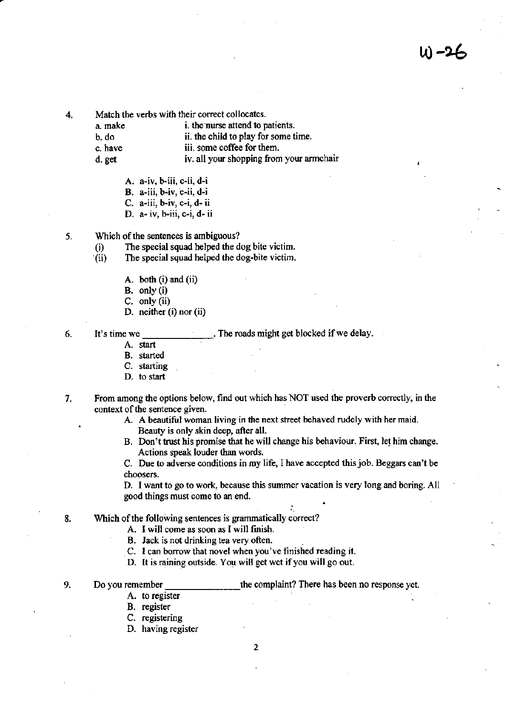u) –2ન

4. Match the verbs with their correct collocates.<br>a. make i. the nurse attend to p

i. the nurse attend to patients.

- b. do ii. the child to play for some time.
- c. have iii. some coffee for them.

d. get iv. all your shopping from your armchair

A. a-iv, b-iii, c-ii, d-i

 $B.$  a-iii,  $b$ -iv,  $c$ -ii,  $d$ -i

- C. a-iii, b-iv, c-i, d- ii
- D. a- iv, b-iii, c-i, d- ii
- 5. Which of the sentences is ambiguous?
	- (i) The special squad helped the dog bite victim .
	- . (ii) The special squad helped the dog-bite victim.
		- A. both (i) and (ii)
		- B. only (i)
		- C. only (ii)
		- D. neither (i) nor (ii)

6. It's time we. The roads might get blocked if we delay.

A. start

- B. started
- C. starting D. to start
- 7. From among the options below, find out which has NOT used the proverb correctly, in the context of the sentence given.
	- A. A beautiful woman living in the next street behaved rudely with her maid. Beauty is only skin deep, after all.
	- B. Don't trust his promise that he will change his behaviour. First, let him change. Actions speak louder than words.

C. Due to adverse conditions in my life. I have accepted this job. Beggars can't be choosers.

D. ] want to go to work, because this summer vacation is very long and boring. All good things must come to an end.

..

- 8. Which of the following sentences is grammatically correct?
	- A. I will come as soon as I will fmish.
	- B. Jack is not drinking tea very often.
	- C. I can borrow that novel when you've finished reading it.
	- D. It is raining outside. You will get wet if you will go out.

9. Do you remember e-: c-: c-: c-: the complaint? There has been no response yet.

- A. to register
- B. register
- C. registering
- D. having register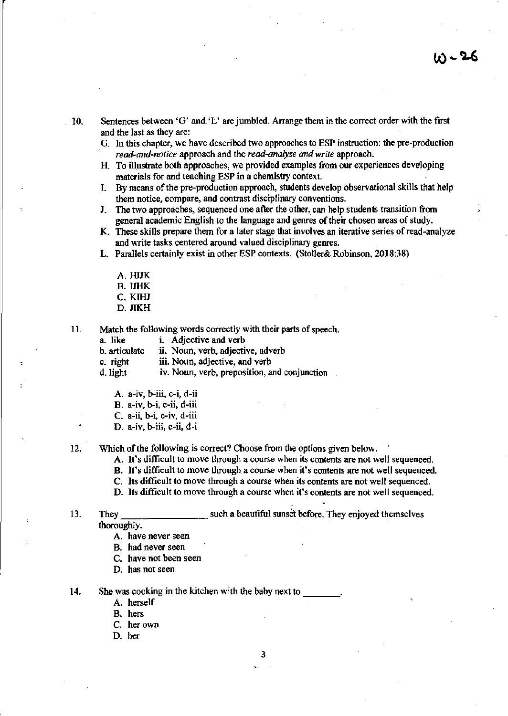10. Sentences between 'G' and'L' are jumbled. Arrange them in the correct order with the first and the last as they are:

- G. In this chapter, we have described two approaches to ESP instruction: the pre-production *read-and-notice* approach and the *read-analyze and write* approach.
- H. To illustrate both approaches, we provided examples from our experiences deve/loping materials for and teaching ESP in a chemistry context.
- I. By means of the pre-production approach, students develop observational ski1ls that help them notice, compare, and contrast disciplinary conventions.
- J. The two approaches, sequenced one after the other, can help students transition from general academic English to the language and genres of their chosen areas of study.
- K. These skills prepare them for a later stage that involves an iterative series of read-analyze and write tasks centered around valued disciplinary genres.
- L. Parallels certainly exist in other ESP contexts. (Stoller& Robinson, 2018:38)
	- A. HJJK B.llHK C. KIHJ
	- D.JIKH
- 11. Match the following words correctly with their parts of speech.
	- a. like i. Adjective and verb
	- b. articulate ii. Noun, verb, adjective, adverb
	- c. right iii. Noun, adjective, and verb
	- d. light iv. Noun, verb, preposition, and conjunction
		- A. a-iv, b-iii. c-i, d-ii
		- B. a-iv, b-i, c-ii, d-iii
		- C. a-ii, b-i, c-iv, d-iii
		- D. a-iv, b-iii, c-ii, d-i

12. Which of the following is correct? Choose from the options given below.

- A. It's difficult to move through a course when its contents are not well sequenced.
- B. It's difficult to move through a course when it's contents are not well sequenced.
- C. Its difficult to move through a course when its contents are not well sequenced.
- D. Its difficult to move through a course when it's contents are not well sequenced.
- 13. They \_\_\_\_\_\_\_\_\_\_\_\_\_\_\_\_\_\_\_\_\_\_\_\_\_ such a beautiful sunset before. They enjoyed themselves thoroughly.
	- A. have never seen
	- B. had never seen
	- C. have not been seen
	- D. has not seen
- 14. She was cooking in the kitchen with the baby next to
	- A. herself
	- B. hers
	- C. her own
	- D. her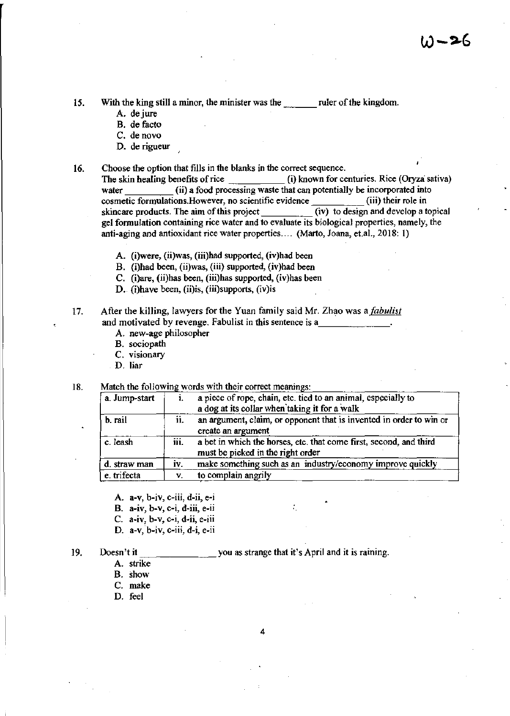15. With the king still a minor, the minister was the ruler of the kingdom.

- A. dejure
- B. de facto
- C. denovo
- D. de rigueur
- 16. Choose the option that fills in the blanks in the correct sequence.

The skin healing benefits of rice (i) known for centuries. Rice (Oryza sativa) water (ii) a food processing waste that can potentially be incorporated into cosmetic formulations. However, no scientific evidence  $\frac{1}{(iv)}$  to design and develop a topical skincare products. The aim of this project gel formulation containing rice water and to evaluate its biological properties, namely, the anti-aging and antioxidant rice water properties .... (Marto, Joana. et.aI., 2018: 1)

- A. (i)were, (ii)was, (iii)had supported, (iv)had been
- B. (i)bad been, (ii)was, (iii) supported, (iv)had been
- C. (i)are, (ii)has been, (iii)bas supported, (iv)has been
- D. (i)have been, (ii)is, (iii)supports, (iv)is

17. After the killing, lawyers for the Yuan family said Mr. Zhao was a *fabulist* and motivated by revenge. Fabulist in this sentence is a

- A. new-age philosopher
- B. sociopath
- C. visionary
- D. liar

18. Match the following words with their correct meanings:

| a. Jump-start |      | a piece of rope, chain, etc. tied to an animal, especially to<br>a dog at its collar when taking it for a walk |
|---------------|------|----------------------------------------------------------------------------------------------------------------|
| b. rail       | ii.  | an argument, claim, or opponent that is invented in order to win or<br>create an argument                      |
| c. leash      | iii. | a bet in which the horses, etc. that come first, second, and third<br>must be picked in the right order        |
| d. straw man  | i۷.  | make something such as an industry/economy improve quickly                                                     |
| e. trifecta   | V.   | to complain angrily                                                                                            |

- A. a-v, b-iv, c-iii, d-ii. e-i
- B. a-iv. h-v, c-i. d-iii, e-ii
- C. a-iv, b-v, c-i, d-ii, e-iii
- D. a-v, h-iv, c-iii, d-i, e-ii

Doesn't itc-\_\_\_\_\_\_ you as strange that it's April and it is raining.

A. strike

19.

- B. show
- C. make
- D. feel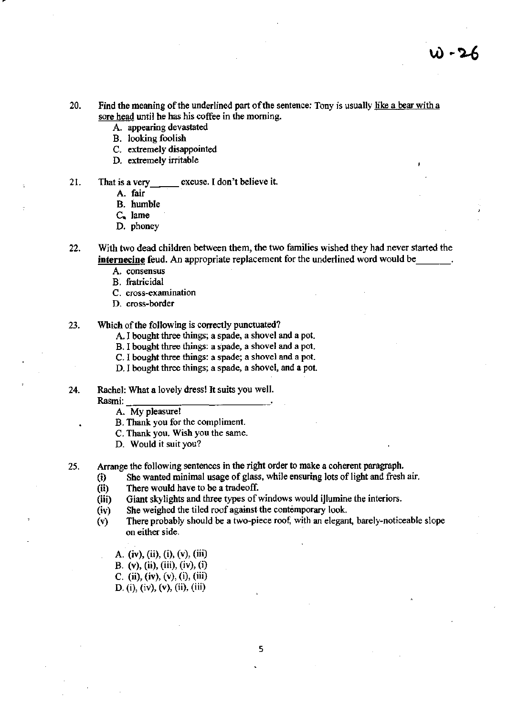- 20. Find the meaning of the underlined part of the sentence: Tony is usually like a bear with a sore head until he has his coffee in the morning.
	- A. appearing devastated
	- B. looking foolish
	- C. extremely disappointed
	- D. extremely irritable
- 21. That is a very excuse. I don't believe it.
	- A. fair
	- B. humble
	- $C_{\bullet}$  lame
	- D. phoney
- 22. With two dead children between them, the two families wished they had never started the **internecine** feud. An appropriate replacement for the underlined word would be
	- A. consensus
	- B. fratricidal
	- c. cross-examination
	- D. cross-border
- 23. Which of the following is correctly punctuated?
	- A. I bought three things; a spade, a shovel and a pot.
	- B. I bought three things: a spade, a shovel and a pot.
	- C. I bought three things: a spade; a shovel and a pot.
	- D. I bought three things; a spade, a shovel, and a pot.
- 24. Rachel: What a lovely dress! It suits you well.<br>Rasmi:  $\frac{1}{2}$ 
	-
	- A. My pleasure!
	- B. Thank you for the compliment.
	- C. Thank you. Wish you the same.
	- D. Would it suit you?
- 25. Arrange the following sentences in the right order to make a coherent paragraph.
	- (i) She wanted minimal usage of glass, while ensuring lots of light and fresh air.
	- (ii) There would have to be a tradeoff.
	- (iii) Giant skylights and three types of windows would iJlumine the interiors.
	- (iv) She weighed the tiled roof against the contemporary look.
	- $(v)$  There probably should be a two-piece roof, with an elegant, barely-noticeable slope on either side.
		- A. (iv), (ii), (i), (v), (iii) B. (v), (ii), (iii), (iv), (i)
		- C. (ii), (iv), (v), (i), (iii)
		- D. (i), (iv), (v), (ii), (iii)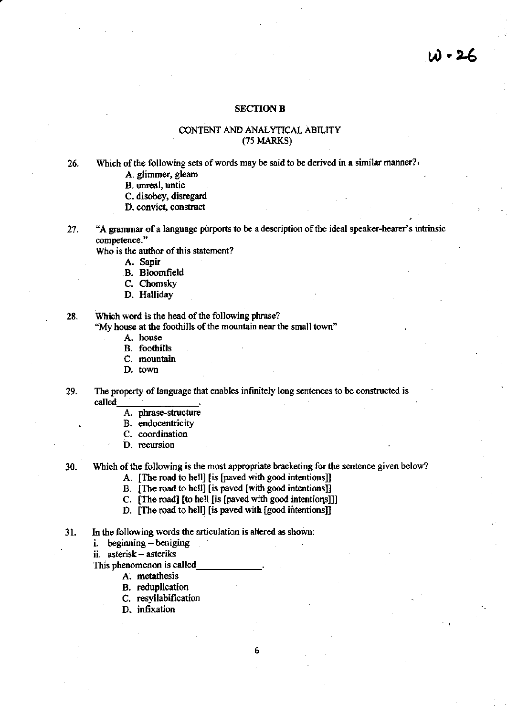### **SECTION B**

### CONTENT AND ANALYTICAL ABILITY (75 MARKS)

26. Which of the following sets of words may be said to be derived in a similar manner?

- A. glimmer, gleam
- B. unreal. untie
- C. disobey, disregard
- D. convict, construct
- 27 . "A grammar of a language purports to be a description of the ideal speaker-hearer's intrinsic competence."

Who is the author of this statement?

- A. Sapir
	- B. Bloomfield
	- C. Chomsky
	- D. Halliday

28. Whlch word is the head of the following phrase?

"My house at the foothills of the mountain near the small town"

- A. house
- B. foothills
- C. mountain
- D. town
- 29. The property of language that enables infinitely long sentences to be constructed is called
	- A. phrase-structure
	- B. endocentricity
	- C. coordination
	- D. recursion

30. Which of the following is the most appropriate bracketing for the sentence given below?

6

A. [The road to hell] [is (paved with good intentions]]

- B. [The road to hell] [is paved [with good intentions]]
- C. [The road] [to hell [is [paved with good intentions]]]
- D. [The road to hell] [is paved with [good intentions]]
- 31. In the following words the articulation is altered as shown:
	- i. beginning beniging

ii. asterisk - asteriks

- This phenomenon is called
	- A. metathesis
	- B. reduplication
	- C. resyllabification
	- D. infixation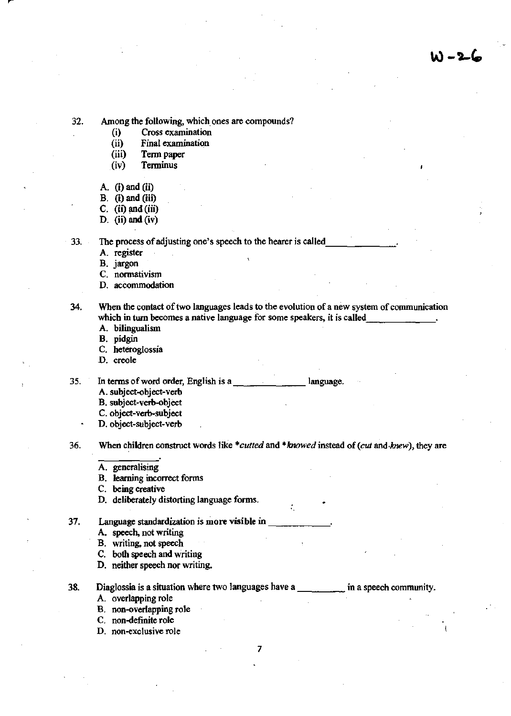W -2-6

**32. Among the following, which. ones are compounds?** 

- **(i) Cross examination**
- **(ii) Final examination**
- (iii) Term paper
- **(iv ) Terminus**
- A.  $(i)$  and  $(ii)$
- B. (i) and (iii)
- $C.$  (ii) and (iii)
- D. (ii) and  $(iv)$

**33. The process** of adjusting **one's speech to the hearer is** called, \_\_\_\_\_\_ .

A. register

B. jargon

**C. nonnativism** 

**D. accommodation** 

**34. When the contact of two languages leads to the evolution of a new system of communication**  which in **turn** becomes a native language for some speakers, it is called

A. bilingualism

B. pidgin

**C. heteroglossia** 

**D. creole** 

35. **In** terms of word **order, English is** a\_. \_\_\_\_\_\_ Ianguage.

- A. subject-object-verb
- **B. subject·verb-object**
- C. object-verb-subjecl
- D. object-subject-verb

**36. When children construct words like** *\*cutted* **and** *\*Icnowed* **instead of** *(cut* **and·Anew), they are** 

- A. generalising
- **B. learning incorrect forms**

**C. being creative** 

D. deliberately distorting language forms.

**37. Language standardization is more visible in** \_\_\_\_\_\_ '

- **A. speech, not writing**
- B. writing, not speech
- C. both speech and writing
- **D. neither speech nor writing.**
- 38. **Diaglossia is a situation where two languages have a** \_\_\_\_ **in a speech community.**  A. overlapping role
	- **B. non-overlapping role**
	- **C. non-definite role**
	- **D. non-exclusive role**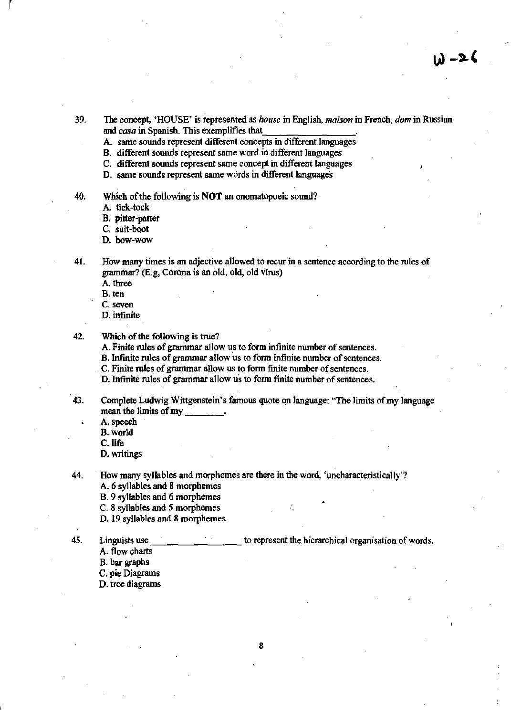- 39. The concept, 'HOUSE' is represented as *house* in English, *maison* in French, *dam* in Russian and *casa* in Spanish. This exemplifies that.
	- A. same sounds represent different concepts in different languages

B. different sounds represent same word in different languages

C. different sounds represent same concept in different languages

D. same sounds represent same words in different languages

l,

40. Which of the following is **NOT** an onomatopoeic sound?

- A tick-tock
- B. pitter-patter

C. suit-boot

D. bow-wow

41. How many times is an adjective allowed to recur in a sentence according to the rules of grammar? (E.g. Corona is an bid, old, old virus)

- A three
- B. ten
- C. seven
- D. infinite

### 42. Which of the following is true?

A. Finite rules of grammar allow us to form infinite number of sentences.

B. Infmite rules of grammar allow us to form infinite number of sentences.

C. Finite rules of grammar allow us to form [mite number of sentences.

D. Infinite rules of grammar allow us to form finite number of sentences.

- 43. Complete Ludwig Wittgenstein's famous quote qn language: "The limits of my language mean the limits of my
	- A. speech

B. world

- C.life
- D. writings

44. How many syllables and morphemes are there in the word, 'uncharacteristically'? A. 6 syllables and 8 morphemes

B. 9 syllables and 6 morphemes

C. 8 syllables and 5 morphemes

D. 19 syllables and 8 morphemes

45. Linguists use to represent the hierarchical organisation of words.

- A. flow charts
- B. bar graphs

C. pie Diagrams

D. tree diagrams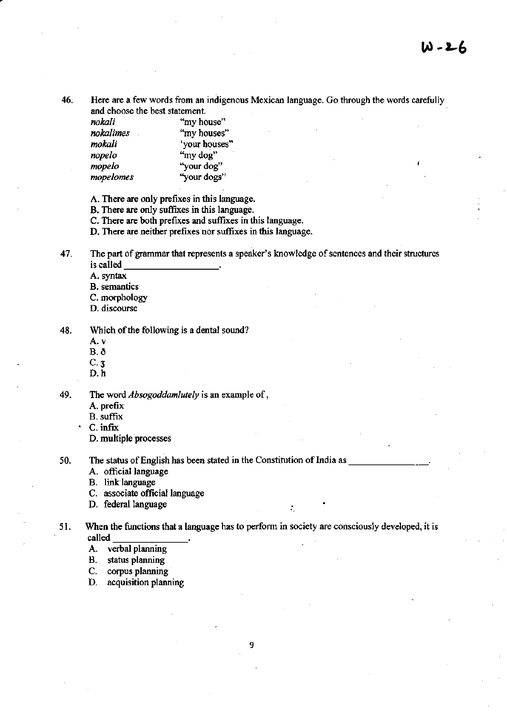46. Here are a few words from an indigenous Mexican language. Go through the words carefully and choose the best statement.

| nokali    | "my house"    |  |
|-----------|---------------|--|
| nokalimes | "my houses"   |  |
| mokali    | 'your houses" |  |
| nopelo    | "my dog"      |  |
| mopelo    | "your dog"    |  |
| mopelomes | "your dogs"   |  |

A. There are only prefixes in this language.

B. There are only suffixes in this language.

C. There are both prefixes and suffixes in this language.

D. There are neither prefixes nor suffixes in this language.

47. The part of grammar that represents a speaker's knowledge of sentences and their structures is called \_\_\_\_\_\_\_\_\_\_\_\_\_\_\_\_.

A. syntax

B. semantics

C. morphology

D. discourse

48. Which of the following is a dental sound?

A.v

B.O

C·3

D.h

49. The word *Absogoddamlutely* is an example of,

A. prefix

B. suffix

C. infix

D. multiple processes

50. The status of English has been stated in the Constitution of India as

A. official language

B. link language

C. associate official language

D. federal language

51. When the functions that a language has to perform in society are consciously developed, it is called  $\frac{1}{\sqrt{1-\frac{1}{\sqrt{1-\frac{1}{\sqrt{1-\frac{1}{\sqrt{1-\frac{1}{\sqrt{1-\frac{1}{\sqrt{1-\frac{1}{\sqrt{1-\frac{1}{\sqrt{1-\frac{1}{\sqrt{1-\frac{1}{\sqrt{1-\frac{1}{\sqrt{1-\frac{1}{\sqrt{1-\frac{1}{\sqrt{1-\frac$ 

'.

A. verbal planning

B. status planning

C. corpus planning

D. acquisition planning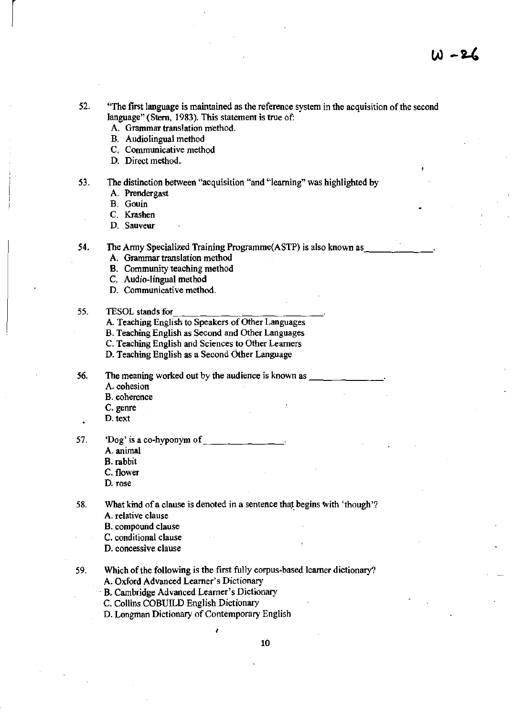- 52. "The first language is maintained as the reference system in the acquisition of the second language" (Stern, 1983). This statement is true of:
	- A. Grammar translation method.
	- B. Audiolingual method
	- C. Communicative method
	- D. Direct method.
- 53. The distinction between "acquisition "and "learning" was highlighted by
	- A. Prendergast
	- B. Gouin

 $\vert$ 

C. Krashen

D. Sauveur

54. The Army Specialized Training Programme(ASTP) is also known as

- A. Grammar translation method
- B. Community teaching method
- C. Audio-lingual method
- D. Communicative method.

## 55. TESOL stands for  $\frac{1}{\sqrt{2}}$  and  $\frac{1}{\sqrt{2}}$  and  $\frac{1}{\sqrt{2}}$  and  $\frac{1}{\sqrt{2}}$  and  $\frac{1}{\sqrt{2}}$  and  $\frac{1}{\sqrt{2}}$  and  $\frac{1}{\sqrt{2}}$  and  $\frac{1}{\sqrt{2}}$  and  $\frac{1}{\sqrt{2}}$  and  $\frac{1}{\sqrt{2}}$  and  $\frac{1}{\sqrt{2}}$  and  $\frac{1}{\sqrt{2}}$

- A. Teaching English to Speakers of Other Languages
- B. Teaching English as Second and Other Languages

C. Teaching English and Sciences to Other Learners

- D. Teaching English as a Second Other Language
- 56. The meaning worked out by the audience is known as
	- A. cohesion
	- B. coherence
	- C. genre
	- D. text
- 57. 'Dog' is a co-hyponym of
	- A. animal
	- B. rabbit
	- C. flower
	- D. rose
- 58. What kind of a clause is denoted in a sentence that begins with 'though'? A. relative clause
	- B. compound clause
	- C. conditional clause

D. concessive clause

- 59. Which of the following is the first fully corpus-based learner dictionary? A. Oxford Advanced Learner's Dictionary
	- . B. Cambridge Advanced Leamer's Dictionary
	- C. Collins COBUILD English Dictionary
	- D. Longman Dictionary of Contemporary English ,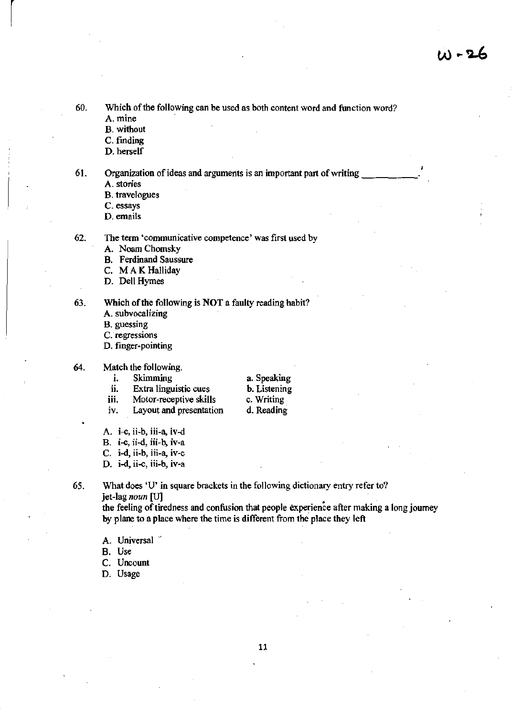$W - 26$ 

60. Which of the following can be used as both content word and function word? A.mine

B. without

 $\vert$ 

C. finding

D. herself

61. Organization of ideas and arguments is an important part of writing \_\_\_\_\_ \_

A. stories

B. travelogues

C. essays

D. emails

62. The term 'communicative competence' was first used by

A. Noam Chomsky

B. Ferdinand Saussure

C. M A K Halliday

D. Dell Hymes

63. Which of the following is NOT a faulty reading habit?

A. subvocalizing

B. guessing

C. regressions

D. finger-pointing

#### 64. Match the following.

i. Skimming

- ii. Extra linguistic cues
- h. Listening
- iii. Motor-receptive skills
- c. Writing d. Reading

a. Speaking

- iv. Layout and presentation
- A. i-c, ii-b. iii-a, iv-d

B. i-c, ii-d, iii-b, iv-a

C. i-d, ii-b, iii-a, iv-c

D. i-d, ii-c, iii-b, iv-a

65. What does 'U' in square brackets in the following dictionary entry refer to? jet-lag *noun* [U1

the feeling of tiredness and confusion that people experience after making a long journey by plane to a place where the time is different from the place they left

A. Universal

B. Use

C. Uncount

D. Usage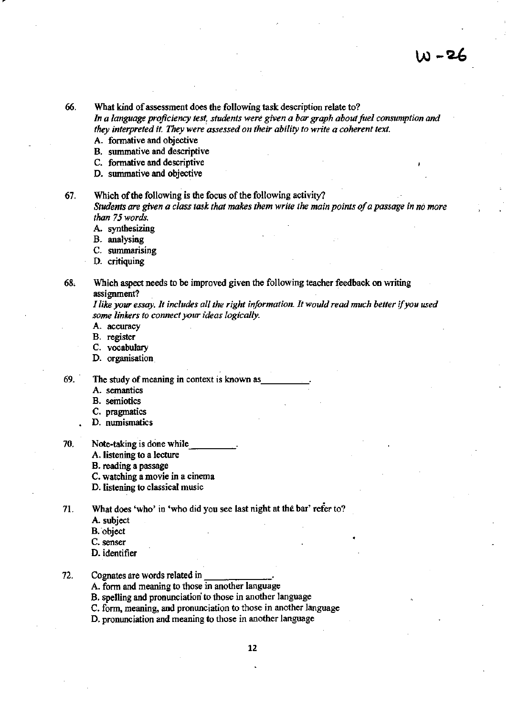66. What kind of assessment does the following task description relate to? *In a language proficiency test, students were given a bar graph about fuel consumption and*  they interpreted it. They were assessed on their ability to write a coherent text.

- A. formative and objective
- B. surnmative and descriptive
- C. formative and descriptive
- D. summative and objective

67. Which of the following is the focus of the following activity? *Students are given a class task that makes them write the main points of a passage in no more than* 75 *words.* 

- A. synthesizing
- B. analysing
- C. summarising
- D. critiquing

68, Which aspect needs to be improved given the following teacher feedback on writing assignment?

*I like your essay. It includes all the right information. It would read much better if you used some linkers to connect your ideas logically.* 

- A. accuracy
- B. register
- C. vocabulary
- D. organisation
- 69. The study of meaning in context is known as
	- A. semantics
	- B. semiotics
	- C. pragmatics
	- D. numismatics
- 70. Note-taking is done while.
	- A. listening to a lecture
	- B. reading a passage
	- C. watching a movie in a cinema
	- D. listening to classical music

71. What does 'who' in 'who did you see last night at the bar' refer to?

- A. subject
- B. object
- C. senser
- D. identifier

### 72. Cognates are words related in

- A. form and meaning to those in another language
- B. speJling and pronunciation to those in another language
- C. form, meaning, and pronunciation to those in another language
- D. pronunciation and meaning to those in another language

•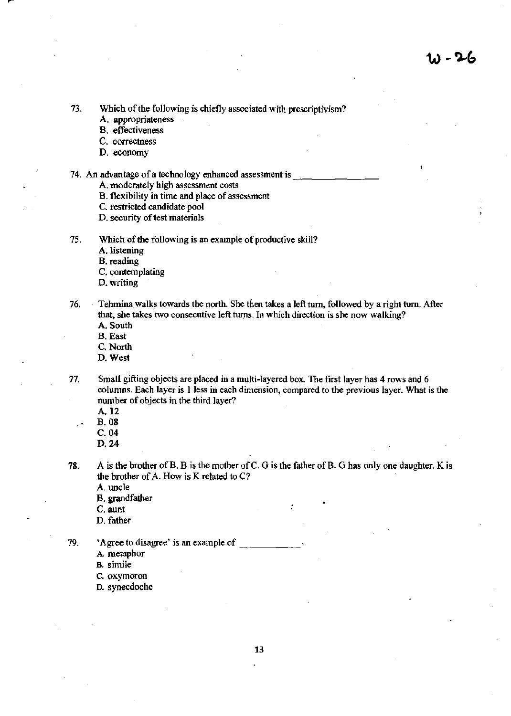73. Which of the following is chiefly associated with prescriptivism?

- A. appropriateness
- B. effectiveness
- C. correctness
- D. economy

### 74. An advantage of a technology enhanced assessment is

- A. moderately high assessment costs
- B. flexibility in time and place of assessment
- C. restricted candidate pool
- D. security of test materials
- 75. Which of the following is an example of productive skill?

A. listening

B. reading

- C. contemplating
- D. writing

76. Tehmina walks towards the north. She then takes a left turn, followed by a right turn. After that, she takes two consecutive left turns. In which direction is she now walking? A. South

- B. East
- C. North
- 
- D. West

Small gifting objects are placed in a multi-layered box. The first layer has 4 rows and 6 columns. Each layer is 1 less in each dimension, compared to the previous layer. What is the number of objects in the third layer?

A.12

71.

- B. 08
- C.04
- D.24

78. A is the brother of B. B is the mother of C. G is the father of B. G has only one daughter. K is the brother of A. How is K related to C?

. ..

A. uncle

- B. grandfather
- C. aunt
- D. father

79. 'Agree to disagree' is an example of \_\_\_\_\_ \_

A metaphor

B. simile

- c. oxymoron
- D. synecdoche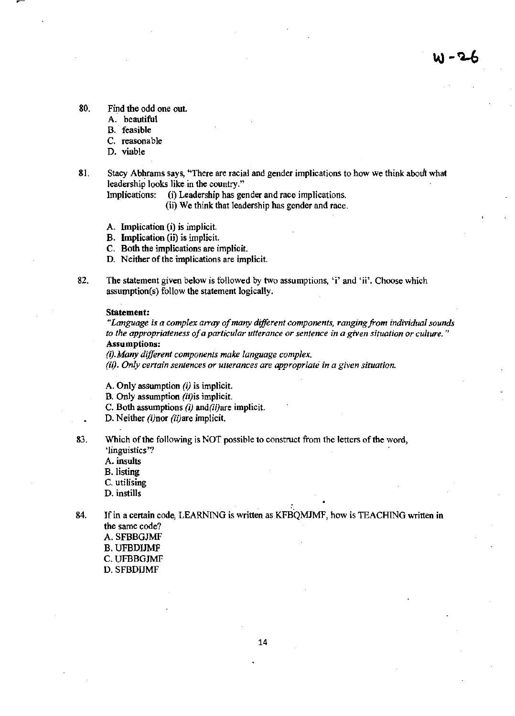- 80. Find the odd one out.
	- A. beautiful
	- B. feasible
	- C. reasonable
	- D. viable
- 81. Stacy Abhrams says, "There are racial and gender implications to how we think about what leadership looks like in the country."
	- Implications: (i) Leadership has gender and race implications.
		- (ii) We think that leadership has gender and race.
	- A. Implication (i) is implicit.
	- B. Implication (ij) is implicit.
	- C. Both the implications are implicit.
	- D. Neither of the implications are implicit.
- 82. The statement given below is followed by two assumptions, 'i' and 'ii'. Choose which assumption(s) follow the statement logically.

#### Statement:

*"Language is a complex a"ay 0/ many different components, ranging from individual sounds to the appropriateness 0/ a particular utterance or sentence in a given situation or culture. "*  Assumptions:

*(i).Many different components make language complex.* 

*(ii). Only certain sentences or utterances are appropriate in a given situation.* 

A. Only assumption  $(i)$  is implicit.

B. Only assumption (ii)is implicit.

C. Both assumptions  $(i)$  and $(ii)$ are implicit.

D. Neither (i)nor (ii)are implicit.

83. Which of the following is NOT possible to construct from the letters of the word, 'linguistics '7

- A. insults
- B. listing
- C. utilising

D. instills

84. If in a certain code, LEARNING is written as KFBQM1MF, how is TEACHING written in the same code?

A.SFBBGJMF B. UFBDIJMF C.UFBBGJMF D.SFBDUMF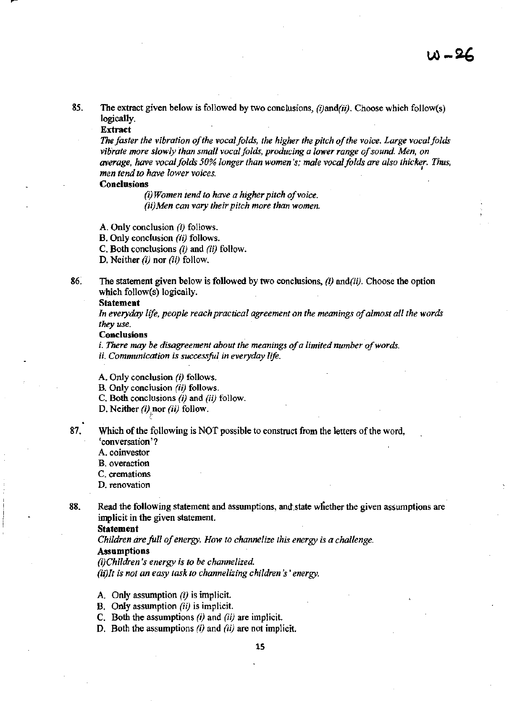85. The extract given below is followed by two conclusions, *(lJand(iij.* Choose which follow(s) logically.

### Extract

*The faster the vibration of the vocal folds, the higher the pitch of the voice. Large vocal folds vibrate more slowly than small vocal folds, producing a lower range of sound. Men, on average, have vocal folds 50% longer than women's; male vocal folds are also thicker.* Thus, *men tend to have lower voices.* <sup>I</sup>

### Conclusions

*(i) Women tend to have a higher pitch of voice. (ii)Men can vary their pitch more than women.* 

A. Only conclusion (I) follows.

B. Only conclusion (ii) follows.

C. Both conclusions *(ij* and (ii) follow.

D. Neither  $(i)$  nor  $(ii)$  follow.

86. The statement given below is followed by two conclusions, *(ij and(iij.* Choose the option which follow(s) logically.

#### Statement

*In everyday life, people reach practical agreement on the meanings of almost all the words they use.* 

#### **Conclusions**

i. *There may be disagreement about the meanings of a limited nwnber of words. ii. Communication is successful in everyday life.* 

A. Only conclusion *(i)* follows.

B. Only conclusion *(ii)* follows.

C. Both conclusions *(i)* and *(ii)* follow.

D. Neither (i) nor (ii) follow.

87. Which of the following is NOT possible to construct from the letters of the word, 'conversation '7

A. coinvestor

B. overaction

C. cremations

D. renovation

88. Read the following statement and assumptions, and state whether the given assumptions are implicit in the given statement.

Statement

*Children are full of energy. How to channelize this energy is a challenge.* 

### Assumptions

*(i)Children's energy is to be channelized.* 

*(jijlt is not an easy task to channelizing children's' energy.* 

- A. Only assumption  $(i)$  is implicit.
- B. Only assumption (ii) is implicit.
- C. Both the assumptions *(i)* and *(ii)* are implicit.
- D. Both the assumptions  $(i)$  and  $(ii)$  are not implicit.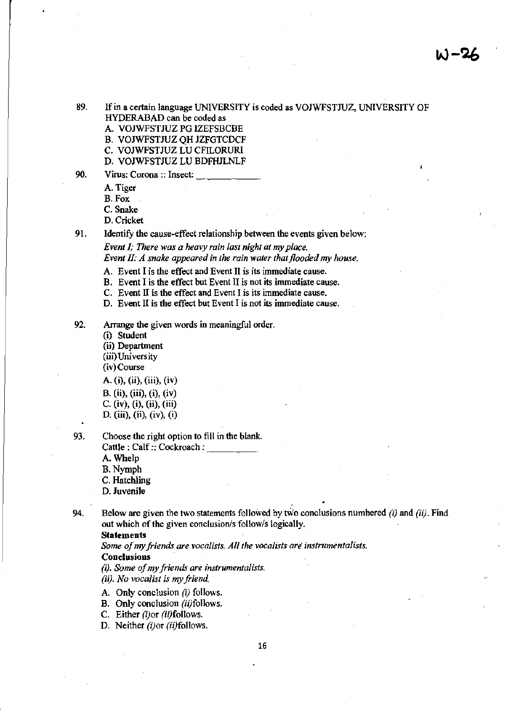- 89. If in a certain language UNIVERSITY is coded as VOJWFSTJUZ, UNIVERSITY OF HYDERABAD can be coded as
	- A. VOJWFSTJUZ PG IZEFSBCBE
	- B. VOJWFSTJUZ QH JZFGTCDCF
	- C. VOJWFSTJUZ LV CFILORURl
	- D. VOJWFSTJUZ LV BDFHJLNLF
- 90. Virus: Corona :: Insect:
	- A. Tiger
	- B.Fox
	- C. Snake
	- D. Cricket
	-

91. Identify the cause-effect relationship between the events given below:

*Event I; There was a heavy rain last night at my place. Event II: A snake appeared in the rain water that flooded my house.* 

- A. Event I is the effect and Event II is its immediate cause.
- B. Event I is the effect but Event II is not its immediate cause.
- C. Event II is the effect and Event I is its immediate cause.
- D. Event Il is the effect but Event I is not its immediate cause.
- 92. Arrange the given words in meaningful order.
	- (i) Student (ii) Department (iii) University
	- (iv) Course

- A. (i), (ii), (iii), (iv) B. (ii), (iii), (i), (iv) c. (iv), (i), (ii), (iii) D. (iii), (ii), (iv), (i)
- 93. Choose the right option to fill in the blank. Cattle: Calf:: Cockroach: A. Whelp B.Nymph C. Hatchling D. Juvenile
- . 94. Below are given the two statements followed by two conclusions numbered  $(i)$  and  $(ii)$ . Find out which of the given conclusion/s follow/s logically.

#### Statements

*Some of my friends are vocalists. All the vocalists are instrumentalists.* 

# **Conclusions**

*(i). Some of my friends are instrumentalists.* 

(ii). *No vocalist is my friend* 

- A. Only conclusion  $(i)$  follows.
- B. Only conclusion (ii)follows.
- C. Either *(i)* or *(ii)* follows.

D. Neither *(i)or (ii)follows*.